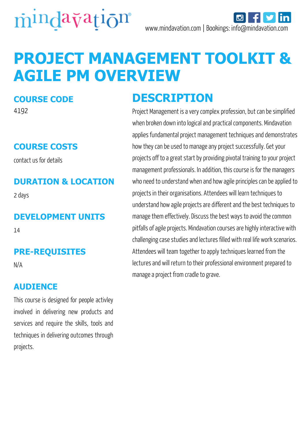

# **PROJECT MANAGEMENT TOOLKIT & AGILE PM OVERVIEW**

#### **COURSE CODE**

4192

#### **COURSE COSTS**

contact us for details

#### **DURATION & LOCATION**

2 days

#### **DEVELOPMENT UNITS**

14

#### **PRE-REQUISITES**

N/A

#### **AUDIENCE**

This course is designed for people activley involved in delivering new products and services and require the skills, tools and techniques in delivering outcomes through projects.

### **DESCRIPTION**

Project Management is a very complex profession, but can be simplified when broken down into logical and practical components. Mindavation applies fundamental project management techniques and demonstrates how they can be used to manage any project successfully. Get your projects off to a great start by providing pivotal training to your project management professionals. In addition, this course is for the managers who need to understand when and how agile principles can be applied to projects in their organisations. Attendees will learn techniques to understand how agile projects are different and the best techniques to manage them effectively. Discuss the best ways to avoid the common pitfalls of agile projects. Mindavation courses are highly interactive with challenging case studies and lectures filled with real life work scenarios. Attendees will team together to apply techniques learned from the lectures and will return to their professional environment prepared to manage a project from cradle to grave.